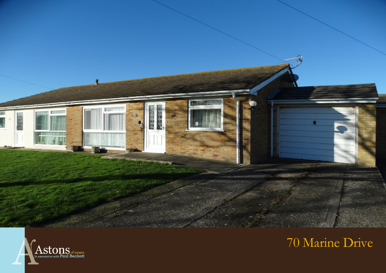



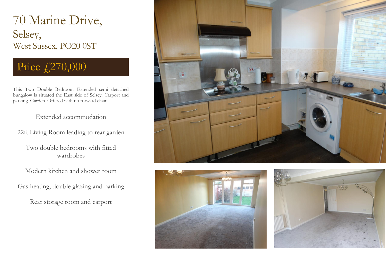## 70 Marine Drive, Selsey, West Sussex, PO20 0ST

# Price £270,000

This Two Double Bedroom Extended semi detached bungalow is situated the East side of Selsey. Carport and parking. Garden. Offered with no forward chain.

### Extended accommodation

22ft Living Room leading to rear garden

Two double bedrooms with fitted wardrobes

Modern kitchen and shower room

Gas heating, double glazing and parking

Rear storage room and carport





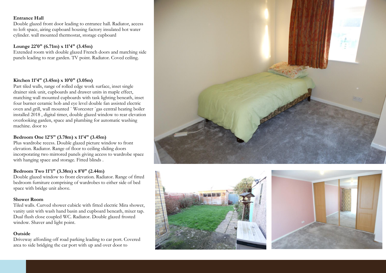#### **Entrance Hall**

Double glazed front door leading to entrance hall. Radiator, access to loft space, airing cupboard housing factory insulated hot water cylinder. wall mounted thermostat, storage cupboard

#### **Lounge 22'0" (6.71m) x 11'4" (3.45m)**

Extended room with double glazed French doors and matching side panels leading to rear garden. TV point. Radiator. Coved ceiling.

#### **Kitchen 11'4" (3.45m) x 10'0" (3.05m)**

Part tiled walls, range of rolled edge work surface, inset single drainer sink unit, cupboards and drawer units in maple effect, matching wall mounted cupboards with task lighting beneath, inset four burner ceramic hob and eye level double fan assisted electric oven and grill, wall mounted ` Worcester `gas central heating boiler installed 2018 , digital timer, double glazed window to rear elevation overlooking garden, space and plumbing for automatic washing machine. door to

#### **Bedroom One 12'5" (3.78m) x 11'4" (3.45m)**

Plus wardrobe recess. Double glazed picture window to front elevation. Radiator. Range of floor to ceiling sliding doors incorporating two mirrored panels giving access to wardrobe space with hanging space and storage. Fitted blinds .

#### **Bedroom Two 11'1" (3.38m) x 8'0" (2.44m)**

Double glazed window to front elevation. Radiator. Range of fitted bedroom furniture comprising of wardrobes to either side of bed space with bridge unit above.

#### **Shower Room**

Tiled walls. Curved shower cubicle with fitted electric Mira shower, vanity unit with wash hand basin and cupboard beneath, mixer tap. Dual flush close coupled WC. Radiator. Double glazed frosted window. Shaver and light point.

#### **Outside**

and light.

Driveway affording off road parking leading to car port. Covered area to side bridging the car port with up and over door to

Formally a concrete sectional garage with door and window, power